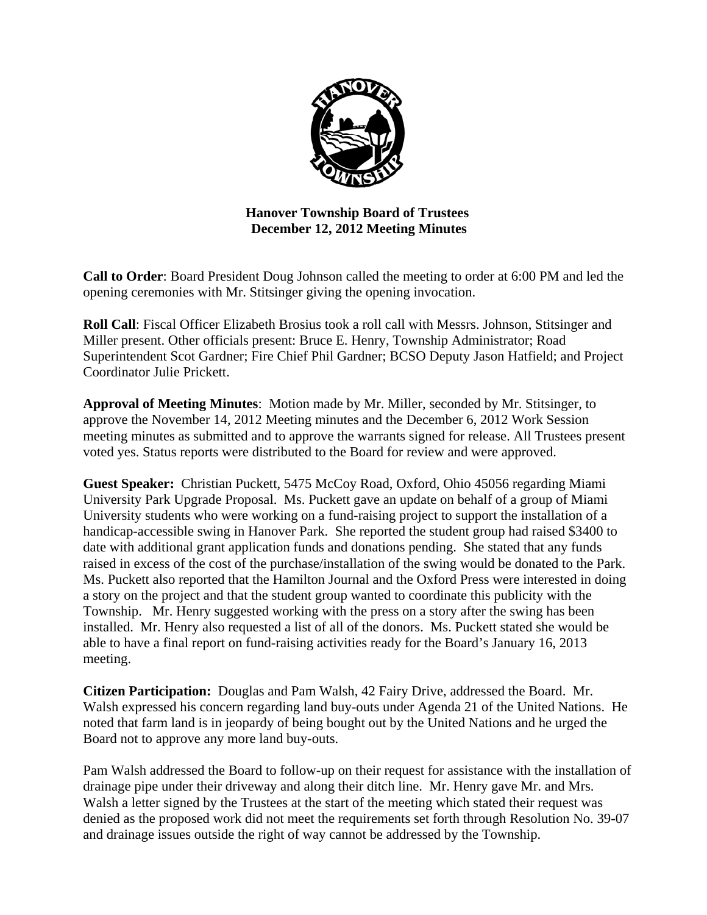

# **Hanover Township Board of Trustees December 12, 2012 Meeting Minutes**

**Call to Order**: Board President Doug Johnson called the meeting to order at 6:00 PM and led the opening ceremonies with Mr. Stitsinger giving the opening invocation.

**Roll Call**: Fiscal Officer Elizabeth Brosius took a roll call with Messrs. Johnson, Stitsinger and Miller present. Other officials present: Bruce E. Henry, Township Administrator; Road Superintendent Scot Gardner; Fire Chief Phil Gardner; BCSO Deputy Jason Hatfield; and Project Coordinator Julie Prickett.

**Approval of Meeting Minutes**: Motion made by Mr. Miller, seconded by Mr. Stitsinger, to approve the November 14, 2012 Meeting minutes and the December 6, 2012 Work Session meeting minutes as submitted and to approve the warrants signed for release. All Trustees present voted yes. Status reports were distributed to the Board for review and were approved.

**Guest Speaker:** Christian Puckett, 5475 McCoy Road, Oxford, Ohio 45056 regarding Miami University Park Upgrade Proposal. Ms. Puckett gave an update on behalf of a group of Miami University students who were working on a fund-raising project to support the installation of a handicap-accessible swing in Hanover Park. She reported the student group had raised \$3400 to date with additional grant application funds and donations pending. She stated that any funds raised in excess of the cost of the purchase/installation of the swing would be donated to the Park. Ms. Puckett also reported that the Hamilton Journal and the Oxford Press were interested in doing a story on the project and that the student group wanted to coordinate this publicity with the Township. Mr. Henry suggested working with the press on a story after the swing has been installed. Mr. Henry also requested a list of all of the donors. Ms. Puckett stated she would be able to have a final report on fund-raising activities ready for the Board's January 16, 2013 meeting.

**Citizen Participation:** Douglas and Pam Walsh, 42 Fairy Drive, addressed the Board. Mr. Walsh expressed his concern regarding land buy-outs under Agenda 21 of the United Nations. He noted that farm land is in jeopardy of being bought out by the United Nations and he urged the Board not to approve any more land buy-outs.

Pam Walsh addressed the Board to follow-up on their request for assistance with the installation of drainage pipe under their driveway and along their ditch line. Mr. Henry gave Mr. and Mrs. Walsh a letter signed by the Trustees at the start of the meeting which stated their request was denied as the proposed work did not meet the requirements set forth through Resolution No. 39-07 and drainage issues outside the right of way cannot be addressed by the Township.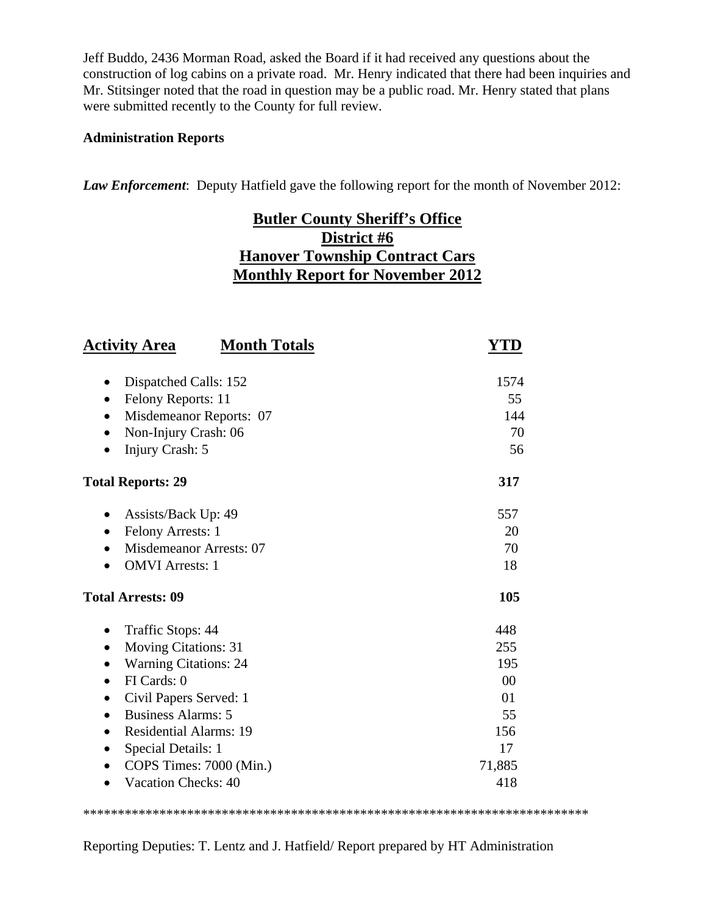Jeff Buddo, 2436 Morman Road, asked the Board if it had received any questions about the construction of log cabins on a private road. Mr. Henry indicated that there had been inquiries and Mr. Stitsinger noted that the road in question may be a public road. Mr. Henry stated that plans were submitted recently to the County for full review.

#### **Administration Reports**

*Law Enforcement*: Deputy Hatfield gave the following report for the month of November 2012:

# **Butler County Sheriff's Office District #6 Hanover Township Contract Cars Monthly Report for November 2012**

| <b>Activity Area</b><br><b>Month Totals</b> | YTD            |
|---------------------------------------------|----------------|
| Dispatched Calls: 152<br>$\bullet$          | 1574           |
| Felony Reports: 11<br>$\bullet$             | 55             |
| Misdemeanor Reports: 07<br>$\bullet$        | 144            |
| Non-Injury Crash: 06<br>$\bullet$           | 70             |
| Injury Crash: 5<br>$\bullet$                | 56             |
| <b>Total Reports: 29</b>                    | 317            |
| Assists/Back Up: 49                         | 557            |
| Felony Arrests: 1<br>$\bullet$              | 20             |
| Misdemeanor Arrests: 07                     | 70             |
| <b>OMVI</b> Arrests: 1                      | 18             |
| <b>Total Arrests: 09</b>                    | 105            |
| Traffic Stops: 44<br>$\bullet$              | 448            |
| <b>Moving Citations: 31</b><br>$\bullet$    | 255            |
| <b>Warning Citations: 24</b><br>$\bullet$   | 195            |
| FI Cards: 0<br>$\bullet$                    | 0 <sup>0</sup> |
| Civil Papers Served: 1<br>$\bullet$         | 01             |
| <b>Business Alarms: 5</b><br>$\bullet$      | 55             |
| <b>Residential Alarms: 19</b><br>$\bullet$  | 156            |
| Special Details: 1<br>$\bullet$             | 17             |
| COPS Times: 7000 (Min.)<br>$\bullet$        | 71,885         |
| Vacation Checks: 40                         | 418            |

Reporting Deputies: T. Lentz and J. Hatfield/ Report prepared by HT Administration

\*\*\*\*\*\*\*\*\*\*\*\*\*\*\*\*\*\*\*\*\*\*\*\*\*\*\*\*\*\*\*\*\*\*\*\*\*\*\*\*\*\*\*\*\*\*\*\*\*\*\*\*\*\*\*\*\*\*\*\*\*\*\*\*\*\*\*\*\*\*\*\*\*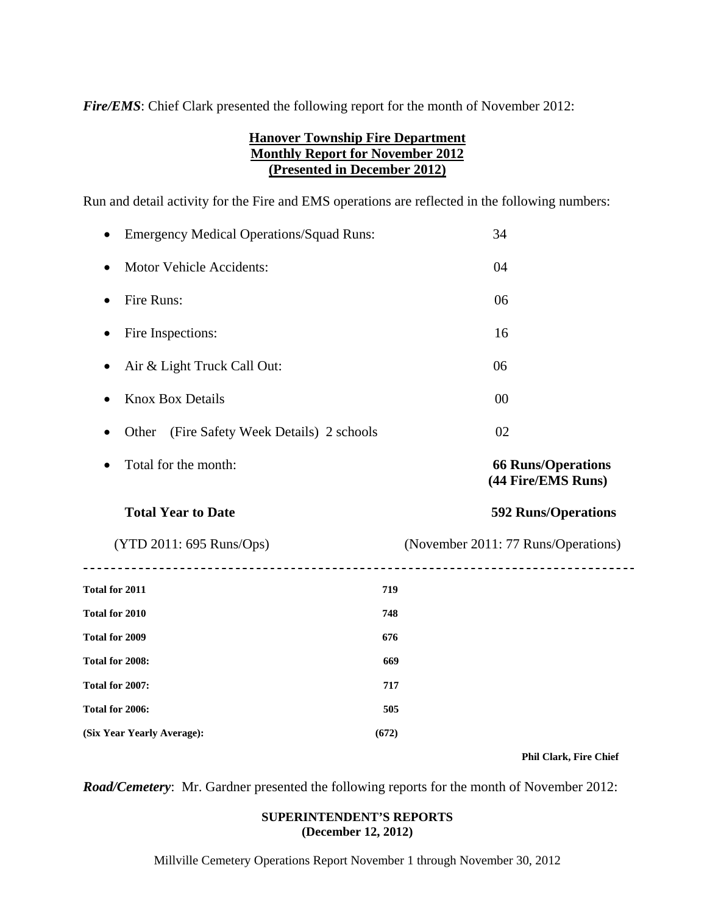*Fire/EMS*: Chief Clark presented the following report for the month of November 2012:

# **Hanover Township Fire Department Monthly Report for November 2012 (Presented in December 2012)**

Run and detail activity for the Fire and EMS operations are reflected in the following numbers:

| <b>Emergency Medical Operations/Squad Runs:</b> | 34                                              |
|-------------------------------------------------|-------------------------------------------------|
| <b>Motor Vehicle Accidents:</b><br>$\bullet$    | 04                                              |
| Fire Runs:<br>٠                                 | 06                                              |
| Fire Inspections:<br>٠                          | 16                                              |
| Air & Light Truck Call Out:<br>٠                | 06                                              |
| <b>Knox Box Details</b>                         | 00                                              |
| (Fire Safety Week Details) 2 schools<br>Other   | 02                                              |
| Total for the month:<br>$\bullet$               | <b>66 Runs/Operations</b><br>(44 Fire/EMS Runs) |
| <b>Total Year to Date</b>                       | <b>592 Runs/Operations</b>                      |
| (YTD 2011: 695 Runs/Ops)                        | (November 2011: 77 Runs/Operations)             |
| Total for 2011                                  | 719                                             |
| Total for 2010                                  | 748                                             |
| Total for 2009                                  | 676                                             |
| Total for 2008:                                 | 669                                             |
| Total for 2007:                                 | 717                                             |
| Total for 2006:                                 | 505                                             |
| (Six Year Yearly Average):<br>(672)             |                                                 |

 $\overline{\phantom{a}}$ 

 **Phil Clark, Fire Chief** 

*Road/Cemetery*: Mr. Gardner presented the following reports for the month of November 2012:

#### **SUPERINTENDENT'S REPORTS (December 12, 2012)**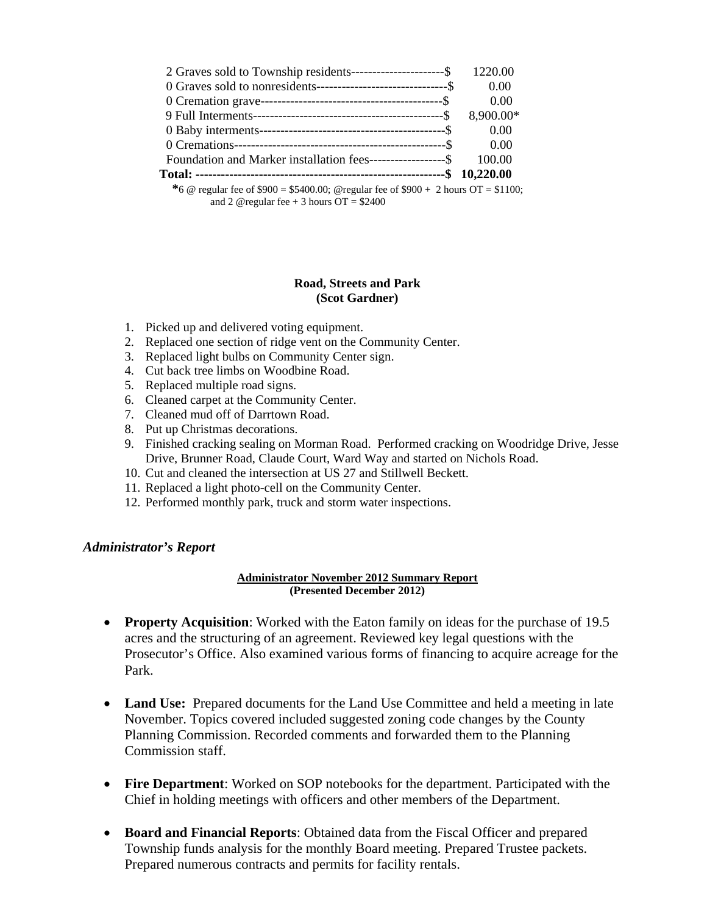| 2 Graves sold to Township residents-----------------------\$                                 | 1220.00   |
|----------------------------------------------------------------------------------------------|-----------|
|                                                                                              | 0.00      |
|                                                                                              | 0.00      |
|                                                                                              | 8,900.00* |
|                                                                                              | 0.00      |
|                                                                                              | 0.00      |
| Foundation and Marker installation fees--------------------\$                                | 100.00    |
|                                                                                              |           |
| $*_{6.0}$ mouth for of \$000 = \$5400.00. Quantler for of \$000 + 2 hours $\Omega$ = \$1100. |           |

 **<sup>\*</sup>**6 @ regular fee of \$900 = \$5400.00; @regular fee of \$900 + 2 hours OT = \$1100; and 2 @regular fee  $+3$  hours OT = \$2400

#### **Road, Streets and Park (Scot Gardner)**

- 1. Picked up and delivered voting equipment.
- 2. Replaced one section of ridge vent on the Community Center.
- 3. Replaced light bulbs on Community Center sign.
- 4. Cut back tree limbs on Woodbine Road.
- 5. Replaced multiple road signs.
- 6. Cleaned carpet at the Community Center.
- 7. Cleaned mud off of Darrtown Road.
- 8. Put up Christmas decorations.
- 9. Finished cracking sealing on Morman Road. Performed cracking on Woodridge Drive, Jesse Drive, Brunner Road, Claude Court, Ward Way and started on Nichols Road.
- 10. Cut and cleaned the intersection at US 27 and Stillwell Beckett.
- 11. Replaced a light photo-cell on the Community Center.
- 12. Performed monthly park, truck and storm water inspections.

#### *Administrator's Report*

#### **Administrator November 2012 Summary Report (Presented December 2012)**

- **Property Acquisition:** Worked with the Eaton family on ideas for the purchase of 19.5 acres and the structuring of an agreement. Reviewed key legal questions with the Prosecutor's Office. Also examined various forms of financing to acquire acreage for the Park.
- Land Use: Prepared documents for the Land Use Committee and held a meeting in late November. Topics covered included suggested zoning code changes by the County Planning Commission. Recorded comments and forwarded them to the Planning Commission staff.
- **Fire Department**: Worked on SOP notebooks for the department. Participated with the Chief in holding meetings with officers and other members of the Department.
- **Board and Financial Reports**: Obtained data from the Fiscal Officer and prepared Township funds analysis for the monthly Board meeting. Prepared Trustee packets. Prepared numerous contracts and permits for facility rentals.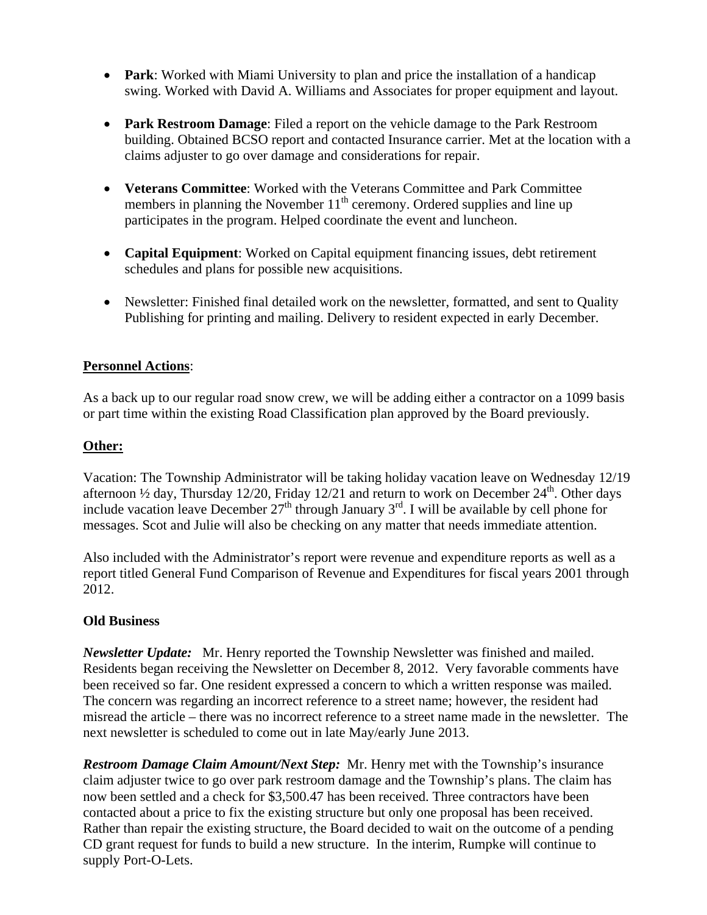- **Park**: Worked with Miami University to plan and price the installation of a handicap swing. Worked with David A. Williams and Associates for proper equipment and layout.
- **Park Restroom Damage**: Filed a report on the vehicle damage to the Park Restroom building. Obtained BCSO report and contacted Insurance carrier. Met at the location with a claims adjuster to go over damage and considerations for repair.
- **Veterans Committee**: Worked with the Veterans Committee and Park Committee members in planning the November  $11<sup>th</sup>$  ceremony. Ordered supplies and line up participates in the program. Helped coordinate the event and luncheon.
- **Capital Equipment**: Worked on Capital equipment financing issues, debt retirement schedules and plans for possible new acquisitions.
- Newsletter: Finished final detailed work on the newsletter, formatted, and sent to Quality Publishing for printing and mailing. Delivery to resident expected in early December.

# **Personnel Actions**:

As a back up to our regular road snow crew, we will be adding either a contractor on a 1099 basis or part time within the existing Road Classification plan approved by the Board previously.

# **Other:**

Vacation: The Township Administrator will be taking holiday vacation leave on Wednesday 12/19 afternoon  $\frac{1}{2}$  day, Thursday 12/20, Friday 12/21 and return to work on December 24<sup>th</sup>. Other days include vacation leave December  $27<sup>th</sup>$  through January  $3<sup>rd</sup>$ . I will be available by cell phone for messages. Scot and Julie will also be checking on any matter that needs immediate attention.

Also included with the Administrator's report were revenue and expenditure reports as well as a report titled General Fund Comparison of Revenue and Expenditures for fiscal years 2001 through 2012.

# **Old Business**

*Newsletter Update:* Mr. Henry reported the Township Newsletter was finished and mailed. Residents began receiving the Newsletter on December 8, 2012. Very favorable comments have been received so far. One resident expressed a concern to which a written response was mailed. The concern was regarding an incorrect reference to a street name; however, the resident had misread the article – there was no incorrect reference to a street name made in the newsletter. The next newsletter is scheduled to come out in late May/early June 2013.

*Restroom Damage Claim Amount/Next Step:* Mr. Henry met with the Township's insurance claim adjuster twice to go over park restroom damage and the Township's plans. The claim has now been settled and a check for \$3,500.47 has been received. Three contractors have been contacted about a price to fix the existing structure but only one proposal has been received. Rather than repair the existing structure, the Board decided to wait on the outcome of a pending CD grant request for funds to build a new structure. In the interim, Rumpke will continue to supply Port-O-Lets.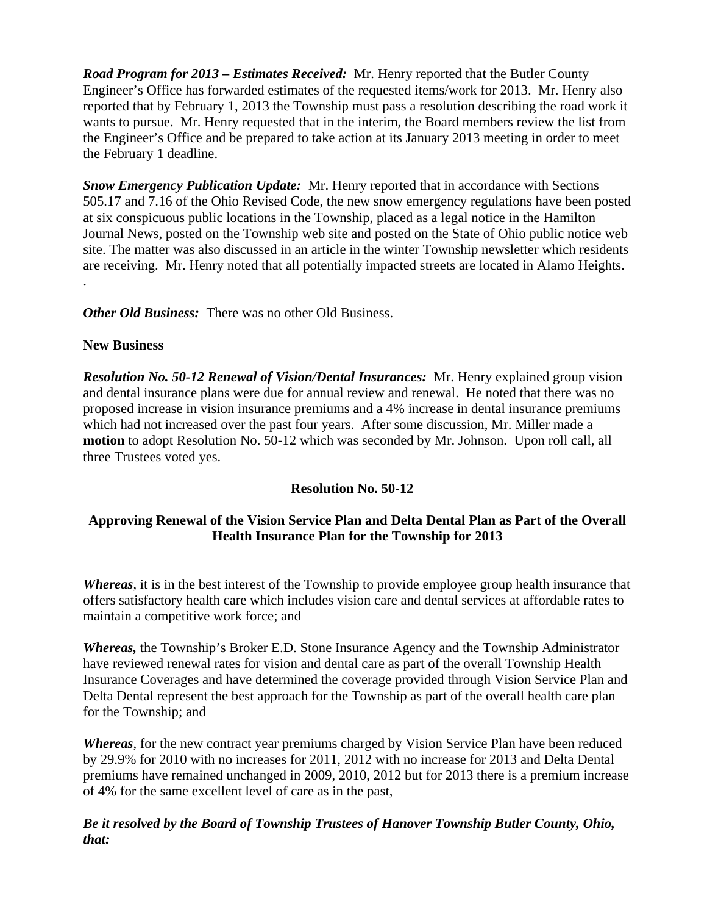*Road Program for 2013 – Estimates Received:* Mr. Henry reported that the Butler County Engineer's Office has forwarded estimates of the requested items/work for 2013. Mr. Henry also reported that by February 1, 2013 the Township must pass a resolution describing the road work it wants to pursue. Mr. Henry requested that in the interim, the Board members review the list from the Engineer's Office and be prepared to take action at its January 2013 meeting in order to meet the February 1 deadline.

*Snow Emergency Publication Update:* Mr. Henry reported that in accordance with Sections 505.17 and 7.16 of the Ohio Revised Code, the new snow emergency regulations have been posted at six conspicuous public locations in the Township, placed as a legal notice in the Hamilton Journal News, posted on the Township web site and posted on the State of Ohio public notice web site. The matter was also discussed in an article in the winter Township newsletter which residents are receiving. Mr. Henry noted that all potentially impacted streets are located in Alamo Heights.

*Other Old Business:* There was no other Old Business.

#### **New Business**

.

*Resolution No. 50-12 Renewal of Vision/Dental Insurances:* Mr. Henry explained group vision and dental insurance plans were due for annual review and renewal. He noted that there was no proposed increase in vision insurance premiums and a 4% increase in dental insurance premiums which had not increased over the past four years. After some discussion, Mr. Miller made a **motion** to adopt Resolution No. 50-12 which was seconded by Mr. Johnson. Upon roll call, all three Trustees voted yes.

# **Resolution No. 50-12**

# **Approving Renewal of the Vision Service Plan and Delta Dental Plan as Part of the Overall Health Insurance Plan for the Township for 2013**

*Whereas*, it is in the best interest of the Township to provide employee group health insurance that offers satisfactory health care which includes vision care and dental services at affordable rates to maintain a competitive work force; and

*Whereas,* the Township's Broker E.D. Stone Insurance Agency and the Township Administrator have reviewed renewal rates for vision and dental care as part of the overall Township Health Insurance Coverages and have determined the coverage provided through Vision Service Plan and Delta Dental represent the best approach for the Township as part of the overall health care plan for the Township; and

*Whereas*, for the new contract year premiums charged by Vision Service Plan have been reduced by 29.9% for 2010 with no increases for 2011, 2012 with no increase for 2013 and Delta Dental premiums have remained unchanged in 2009, 2010, 2012 but for 2013 there is a premium increase of 4% for the same excellent level of care as in the past,

# *Be it resolved by the Board of Township Trustees of Hanover Township Butler County, Ohio, that:*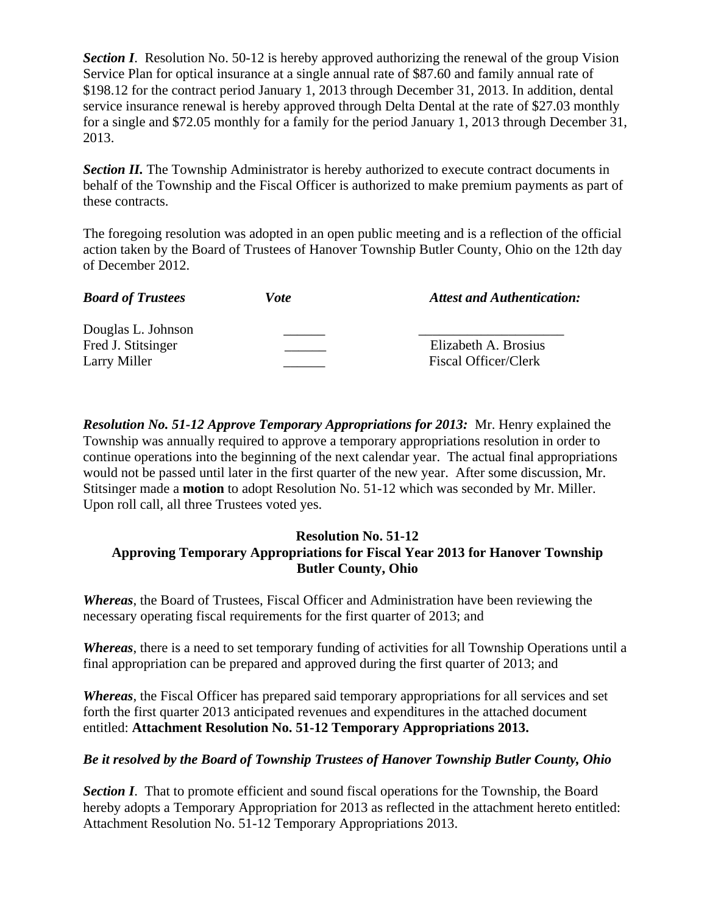**Section I.** Resolution No. 50-12 is hereby approved authorizing the renewal of the group Vision Service Plan for optical insurance at a single annual rate of \$87.60 and family annual rate of \$198.12 for the contract period January 1, 2013 through December 31, 2013. In addition, dental service insurance renewal is hereby approved through Delta Dental at the rate of \$27.03 monthly for a single and \$72.05 monthly for a family for the period January 1, 2013 through December 31, 2013.

**Section II.** The Township Administrator is hereby authorized to execute contract documents in behalf of the Township and the Fiscal Officer is authorized to make premium payments as part of these contracts.

The foregoing resolution was adopted in an open public meeting and is a reflection of the official action taken by the Board of Trustees of Hanover Township Butler County, Ohio on the 12th day of December 2012.

| <b>Board of Trustees</b> | <i>Vote</i> | <b>Attest and Authentication:</b> |
|--------------------------|-------------|-----------------------------------|
| Douglas L. Johnson       |             |                                   |
| Fred J. Stitsinger       |             | Elizabeth A. Brosius              |
| Larry Miller             |             | Fiscal Officer/Clerk              |

*Resolution No. 51-12 Approve Temporary Appropriations for 2013:* Mr. Henry explained the Township was annually required to approve a temporary appropriations resolution in order to continue operations into the beginning of the next calendar year. The actual final appropriations would not be passed until later in the first quarter of the new year. After some discussion, Mr. Stitsinger made a **motion** to adopt Resolution No. 51-12 which was seconded by Mr. Miller. Upon roll call, all three Trustees voted yes.

# **Resolution No. 51-12 Approving Temporary Appropriations for Fiscal Year 2013 for Hanover Township Butler County, Ohio**

*Whereas*, the Board of Trustees, Fiscal Officer and Administration have been reviewing the necessary operating fiscal requirements for the first quarter of 2013; and

*Whereas*, there is a need to set temporary funding of activities for all Township Operations until a final appropriation can be prepared and approved during the first quarter of 2013; and

*Whereas*, the Fiscal Officer has prepared said temporary appropriations for all services and set forth the first quarter 2013 anticipated revenues and expenditures in the attached document entitled: **Attachment Resolution No. 51-12 Temporary Appropriations 2013.** 

# *Be it resolved by the Board of Township Trustees of Hanover Township Butler County, Ohio*

**Section I.** That to promote efficient and sound fiscal operations for the Township, the Board hereby adopts a Temporary Appropriation for 2013 as reflected in the attachment hereto entitled: Attachment Resolution No. 51-12 Temporary Appropriations 2013.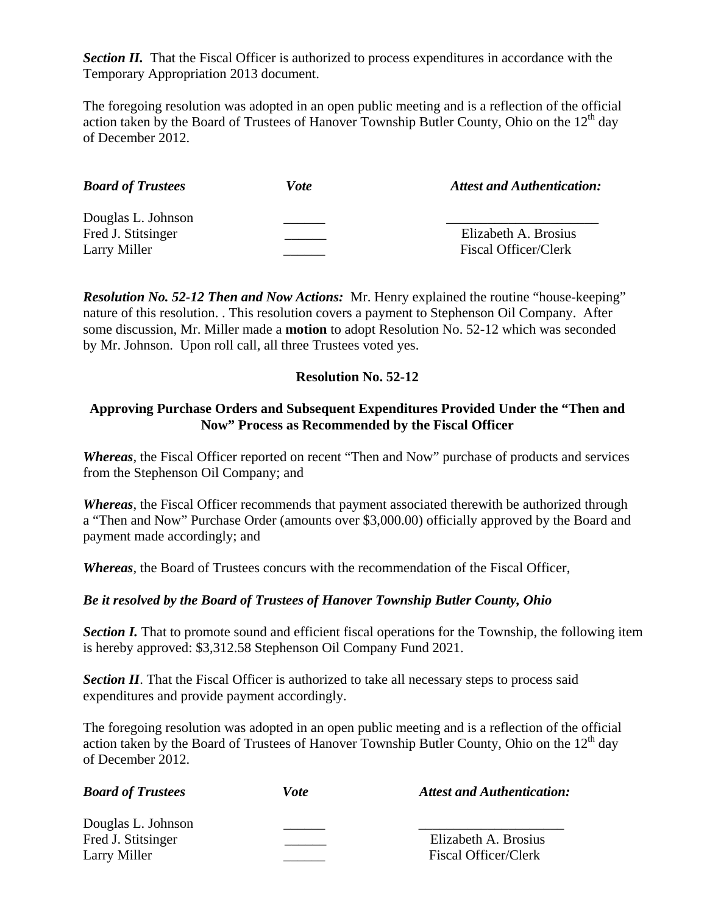**Section II.** That the Fiscal Officer is authorized to process expenditures in accordance with the Temporary Appropriation 2013 document.

The foregoing resolution was adopted in an open public meeting and is a reflection of the official action taken by the Board of Trustees of Hanover Township Butler County, Ohio on the  $12<sup>th</sup>$  day of December 2012.

| <b>Board of Trustees</b> | Vote | <b>Attest and Authentication:</b> |
|--------------------------|------|-----------------------------------|
| Douglas L. Johnson       |      |                                   |
| Fred J. Stitsinger       |      | Elizabeth A. Brosius              |
| Larry Miller             |      | <b>Fiscal Officer/Clerk</b>       |

*Resolution No. 52-12 Then and Now Actions:* Mr. Henry explained the routine "house-keeping" nature of this resolution. . This resolution covers a payment to Stephenson Oil Company. After some discussion, Mr. Miller made a **motion** to adopt Resolution No. 52-12 which was seconded by Mr. Johnson. Upon roll call, all three Trustees voted yes.

#### **Resolution No. 52-12**

#### **Approving Purchase Orders and Subsequent Expenditures Provided Under the "Then and Now" Process as Recommended by the Fiscal Officer**

*Whereas*, the Fiscal Officer reported on recent "Then and Now" purchase of products and services from the Stephenson Oil Company; and

*Whereas*, the Fiscal Officer recommends that payment associated therewith be authorized through a "Then and Now" Purchase Order (amounts over \$3,000.00) officially approved by the Board and payment made accordingly; and

*Whereas*, the Board of Trustees concurs with the recommendation of the Fiscal Officer,

# *Be it resolved by the Board of Trustees of Hanover Township Butler County, Ohio*

**Section I.** That to promote sound and efficient fiscal operations for the Township, the following item is hereby approved: \$3,312.58 Stephenson Oil Company Fund 2021.

*Section II*. That the Fiscal Officer is authorized to take all necessary steps to process said expenditures and provide payment accordingly.

The foregoing resolution was adopted in an open public meeting and is a reflection of the official action taken by the Board of Trustees of Hanover Township Butler County, Ohio on the  $12<sup>th</sup>$  day of December 2012.

| <b>Board of Trustees</b>                                 | <i>Vote</i> | <b>Attest and Authentication:</b>                   |
|----------------------------------------------------------|-------------|-----------------------------------------------------|
| Douglas L. Johnson<br>Fred J. Stitsinger<br>Larry Miller |             | Elizabeth A. Brosius<br><b>Fiscal Officer/Clerk</b> |